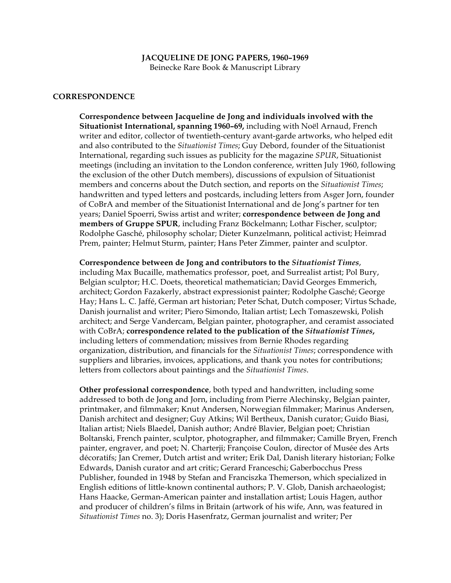#### **JACQUELINE DE JONG PAPERS, 1960–1969** Beinecke Rare Book & Manuscript Library

#### **CORRESPONDENCE**

**Correspondence between Jacqueline de Jong and individuals involved with the Situationist International, spanning 1960–69,** including with Noël Arnaud, French writer and editor, collector of twentieth-century avant-garde artworks, who helped edit and also contributed to the *Situationist Times*; Guy Debord, founder of the Situationist International, regarding such issues as publicity for the magazine *SPUR*, Situationist meetings (including an invitation to the London conference, written July 1960, following the exclusion of the other Dutch members), discussions of expulsion of Situationist members and concerns about the Dutch section, and reports on the *Situationist Times*; handwritten and typed letters and postcards, including letters from Asger Jorn, founder of CoBrA and member of the Situationist International and de Jong's partner for ten years; Daniel Spoerri, Swiss artist and writer; **correspondence between de Jong and members of Gruppe SPUR**, including Franz Böckelmann; Lothar Fischer, sculptor; Rodolphe Gasché, philosophy scholar; Dieter Kunzelmann, political activist; Heimrad Prem, painter; Helmut Sturm, painter; Hans Peter Zimmer, painter and sculptor.

**Correspondence between de Jong and contributors to the** *Situationist Times*, including Max Bucaille, mathematics professor, poet, and Surrealist artist; Pol Bury, Belgian sculptor; H.C. Doets, theoretical mathematician; David Georges Emmerich, architect; Gordon Fazakerly, abstract expressionist painter; Rodolphe Gasché; George Hay; Hans L. C. Jaffé, German art historian; Peter Schat, Dutch composer; Virtus Schade, Danish journalist and writer; Piero Simondo, Italian artist; Lech Tomaszewski, Polish architect; and Serge Vandercam, Belgian painter, photographer, and ceramist associated with CoBrA; **correspondence related to the publication of the** *Situationist Times***,** including letters of commendation; missives from Bernie Rhodes regarding organization, distribution, and financials for the *Situationist Times*; correspondence with suppliers and libraries, invoices, applications, and thank you notes for contributions; letters from collectors about paintings and the *Situationist Times*.

**Other professional correspondence**, both typed and handwritten, including some addressed to both de Jong and Jorn, including from Pierre Alechinsky, Belgian painter, printmaker, and filmmaker; Knut Andersen, Norwegian filmmaker; Marinus Andersen, Danish architect and designer; Guy Atkins; Wil Bertheux, Danish curator; Guido Biasi, Italian artist; Niels Blaedel, Danish author; André Blavier, Belgian poet; Christian Boltanski, French painter, sculptor, photographer, and filmmaker; Camille Bryen, French painter, engraver, and poet; N. Charterji; Françoise Coulon, director of Musée des Arts décoratifs; Jan Cremer, Dutch artist and writer; Erik Dal, Danish literary historian; Folke Edwards, Danish curator and art critic; Gerard Franceschi; Gaberbocchus Press Publisher, founded in 1948 by Stefan and Franciszka Themerson, which specialized in English editions of little-known continental authors; P. V. Glob, Danish archaeologist; Hans Haacke, German-American painter and installation artist; Louis Hagen, author and producer of children's films in Britain (artwork of his wife, Ann, was featured in *Situationist Times* no. 3); Doris Hasenfratz, German journalist and writer; Per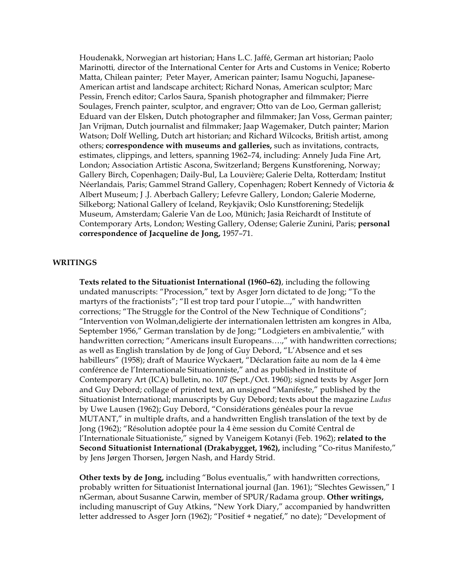Houdenakk, Norwegian art historian; Hans L.C. Jaffé, German art historian; Paolo Marinotti*,* director of the International Center for Arts and Customs in Venice; Roberto Matta, Chilean painter; Peter Mayer, American painter; Isamu Noguchi, Japanese-American artist and landscape architect; Richard Nonas, American sculptor; Marc Pessin, French editor; Carlos Saura, Spanish photographer and filmmaker; Pierre Soulages, French painter, sculptor, and engraver; Otto van de Loo, German gallerist; Eduard van der Elsken, Dutch photographer and filmmaker; Jan Voss, German painter; Jan Vrijman, Dutch journalist and filmmaker; Jaap Wagemaker, Dutch painter; Marion Watson; Dolf Welling, Dutch art historian; and Richard Wilcocks, British artist, among others; **correspondence with museums and galleries,** such as invitations, contracts, estimates, clippings, and letters, spanning 1962–74, including: Annely Juda Fine Art, London; Association Artistic Ascona, Switzerland; Bergens Kunstforening, Norway; Gallery Birch, Copenhagen; Daily-Bul, La Louvière; Galerie Delta, Rotterdam*;* Institut Néerlandais*,* Paris; Gammel Strand Gallery, Copenhagen; Robert Kennedy of Victoria & Albert Museum; J .J. Aberbach Gallery; Lefevre Gallery, London; Galerie Moderne, Silkeborg; National Gallery of Iceland, Reykjavik; Oslo Kunstforening; Stedelijk Museum, Amsterdam; Galerie Van de Loo, Münich; Jasia Reichardt of Institute of Contemporary Arts, London; Westing Gallery, Odense; Galerie Zunini, Paris; **personal correspondence of Jacqueline de Jong,** 1957–71.

#### **WRITINGS**

**Texts related to the Situationist International (1960–62)**, including the following undated manuscripts: "Procession," text by Asger Jorn dictated to de Jong; "To the martyrs of the fractionists"; "Il est trop tard pour l'utopie...," with handwritten corrections; "The Struggle for the Control of the New Technique of Conditions"; "Intervention von Wolman,deligierte der internationalen lettristen am kongres in Alba, September 1956," German translation by de Jong; "Lodgieters en ambivalentie," with handwritten correction; "Americans insult Europeans....," with handwritten corrections; as well as English translation by de Jong of Guy Debord, "L'Absence and et ses habilleurs" (1958); draft of Maurice Wyckaert, "Déclaration faite au nom de la 4 ème conférence de l'Internationale Situationniste," and as published in Institute of Contemporary Art (ICA) bulletin, no. 107 (Sept./Oct. 1960); signed texts by Asger Jorn and Guy Debord; collage of printed text, an unsigned "Manifeste," published by the Situationist International; manuscripts by Guy Debord; texts about the magazine *Ludus* by Uwe Lausen (1962); Guy Debord, "Considérations généales pour la revue MUTANT," in multiple drafts, and a handwritten English translation of the text by de Jong (1962); "Résolution adoptée pour la 4 ème session du Comité Central de l'Internationale Situationiste," signed by Vaneigem Kotanyi (Feb. 1962); **related to the Second Situationist International (Drakabygget, 1962),** including "Co-ritus Manifesto," by Jens Jørgen Thorsen, Jørgen Nash, and Hardy Strid.

**Other texts by de Jong,** including "Bolus eventualis," with handwritten corrections, probably written for Situationist International journal (Jan. 1961); "Slechtes Gewissen," I nGerman, about Susanne Carwin, member of SPUR/Radama group. **Other writings,**  including manuscript of Guy Atkins, "New York Diary," accompanied by handwritten letter addressed to Asger Jorn (1962); "Positief + negatief," no date); "Development of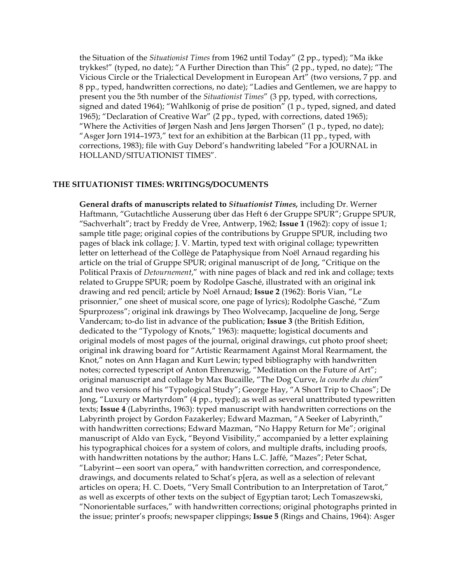the Situation of the *Situationist Times* from 1962 until Today" (2 pp., typed); "Ma ikke trykkes!" (typed, no date); "A Further Direction than This" (2 pp., typed, no date); "The Vicious Circle or the Trialectical Development in European Art" (two versions, 7 pp. and 8 pp., typed, handwritten corrections, no date); "Ladies and Gentlemen, we are happy to present you the 5th number of the *Situationist Times*" (3 pp, typed, with corrections, signed and dated 1964); "Wahlkonig of prise de position" (1 p., typed, signed, and dated 1965); "Declaration of Creative War" (2 pp., typed, with corrections, dated 1965); "Where the Activities of Jørgen Nash and Jens Jørgen Thorsen" (1 p., typed, no date); "Asger Jorn 1914–1973," text for an exhibition at the Barbican (11 pp., typed, with corrections, 1983); file with Guy Debord's handwriting labeled "For a JOURNAL in HOLLAND/SITUATIONIST TIMES".

# **THE SITUATIONIST TIMES: WRITINGS/DOCUMENTS**

**General drafts of manuscripts related to** *Situationist Times,* including Dr. Werner Haftmann, "Gutachtliche Ausserung über das Heft 6 der Gruppe SPUR"; Gruppe SPUR, "Sachverhalt"; tract by Freddy de Vree, Antwerp, 1962; **Issue 1** (1962): copy of issue 1; sample title page; original copies of the contributions by Gruppe SPUR, including two pages of black ink collage; J. V. Martin, typed text with original collage; typewritten letter on letterhead of the Collège de Pataphysique from Noël Arnaud regarding his article on the trial of Gruppe SPUR; original manuscript of de Jong, "Critique on the Political Praxis of *Detournement*," with nine pages of black and red ink and collage; texts related to Gruppe SPUR; poem by Rodolpe Gasché, illustrated with an original ink drawing and red pencil; article by Noël Arnaud; **Issue 2** (1962): Boris Vian, "Le prisonnier," one sheet of musical score, one page of lyrics); Rodolphe Gasché, "Zum Spurprozess"; original ink drawings by Theo Wolvecamp, Jacqueline de Jong, Serge Vandercam; to-do list in advance of the publication; **Issue 3** (the British Edition, dedicated to the "Typology of Knots," 1963): maquette; logistical documents and original models of most pages of the journal, original drawings, cut photo proof sheet; original ink drawing board for "Artistic Rearmament Against Moral Rearmament, the Knot," notes on Ann Hagan and Kurt Lewin; typed bibliography with handwritten notes; corrected typescript of Anton Ehrenzwig, "Meditation on the Future of Art"; original manuscript and collage by Max Bucaille, "The Dog Curve, *la courbe du chien*" and two versions of his "Typological Study"; George Hay, "A Short Trip to Chaos"; De Jong, "Luxury or Martyrdom" (4 pp., typed); as well as several unattributed typewritten texts; **Issue 4** (Labyrinths, 1963): typed manuscript with handwritten corrections on the Labyrinth project by Gordon Fazakerley; Edward Mazman, "A Seeker of Labyrinth," with handwritten corrections; Edward Mazman, "No Happy Return for Me"; original manuscript of Aldo van Eyck, "Beyond Visibility," accompanied by a letter explaining his typographical choices for a system of colors, and multiple drafts, including proofs, with handwritten notations by the author; Hans L.C. Jaffé, "Mazes"; Peter Schat, "Labyrint—een soort van opera," with handwritten correction, and correspondence, drawings, and documents related to Schat's p[era, as well as a selection of relevant articles on opera; H. C. Doets, "Very Small Contribution to an Interpretation of Tarot," as well as excerpts of other texts on the subject of Egyptian tarot; Lech Tomaszewski, "Nonorientable surfaces," with handwritten corrections; original photographs printed in the issue; printer's proofs; newspaper clippings; **Issue 5** (Rings and Chains, 1964): Asger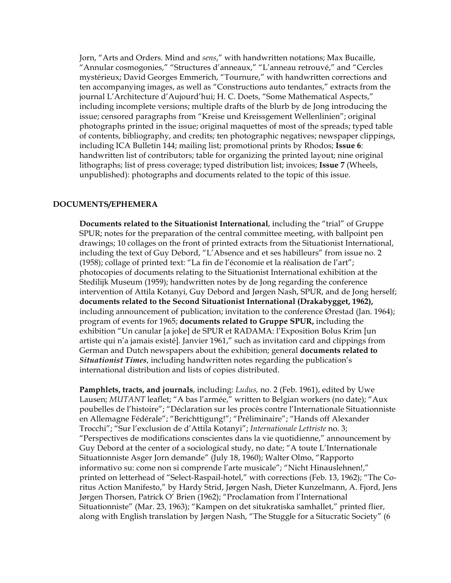Jorn, "Arts and Orders. Mind and *sens*," with handwritten notations; Max Bucaille, "Annular cosmogonies," "Structures d'anneaux," "L'anneau retrouvé," and "Cercles mystérieux; David Georges Emmerich, "Tournure," with handwritten corrections and ten accompanying images, as well as "Constructions auto tendantes," extracts from the journal L'Architecture d'Aujourd'hui; H. C. Doets, "Some Mathematical Aspects," including incomplete versions; multiple drafts of the blurb by de Jong introducing the issue; censored paragraphs from "Kreise und Kreissgement Wellenlinien"; original photographs printed in the issue; original maquettes of most of the spreads; typed table of contents, bibliography, and credits; ten photographic negatives; newspaper clippings, including ICA Bulletin 144; mailing list; promotional prints by Rhodos; **Issue 6**: handwritten list of contributors; table for organizing the printed layout; nine original lithographs; list of press coverage; typed distribution list; invoices; **Issue 7** (Wheels, unpublished): photographs and documents related to the topic of this issue.

# **DOCUMENTS/EPHEMERA**

**Documents related to the Situationist International**, including the "trial" of Gruppe SPUR; notes for the preparation of the central committee meeting, with ballpoint pen drawings; 10 collages on the front of printed extracts from the Situationist International, including the text of Guy Debord, "L'Absence and et ses habilleurs" from issue no. 2 (1958); collage of printed text: "La fin de l'économie et la réalisation de l'art"; photocopies of documents relating to the Situationist International exhibition at the Stedilijk Museum (1959); handwritten notes by de Jong regarding the conference intervention of Attila Kotanyi, Guy Debord and Jørgen Nash, SPUR, and de Jong herself; **documents related to the Second Situationist International (Drakabygget, 1962),** including announcement of publication; invitation to the conference Ørestad (Jan. 1964); program of events for 1965; **documents related to Gruppe SPUR,** including the exhibition "Un canular [a joke] de SPUR et RADAMA: l'Exposition Bolus Krim [un artiste qui n'a jamais existé]. Janvier 1961," such as invitation card and clippings from German and Dutch newspapers about the exhibition; general **documents related to**  *Situationist Times*, including handwritten notes regarding the publication's international distribution and lists of copies distributed.

**Pamphlets, tracts, and journals**, including: *Ludus,* no. 2 (Feb. 1961), edited by Uwe Lausen; *MUTANT* leaflet; "A bas l'armée," written to Belgian workers (no date); "Aux poubelles de l'histoire"; "Déclaration sur les procès contre l'Internationale Situationniste en Allemagne Fédérale"; "Berichttigung!"; "Préliminaire"; "Hands off Alexander Trocchi"; "Sur l'exclusion de d'Attila Kotanyi"; *Internationale Lettriste* no. 3; "Perspectives de modifications conscientes dans la vie quotidienne," announcement by Guy Debord at the center of a sociological study, no date; "A toute L'Internationale Situationniste Asger Jorn demande" (July 18, 1960); Walter Olmo, "Rapporto informativo su: come non si comprende l'arte musicale"; "Nicht Hinauslehnen!," printed on letterhead of "Select-Raspail-hotel," with corrections (Feb. 13, 1962); "The Coritus Action Manifesto," by Hardy Strid, Jørgen Nash, Dieter Kunzelmann, A. Fjord, Jens Jørgen Thorsen, Patrick O' Brien (1962); "Proclamation from l'International Situationniste" (Mar. 23, 1963); "Kampen on det situkratiska samhallet," printed flier, along with English translation by Jørgen Nash, "The Stuggle for a Situcratic Society" (6